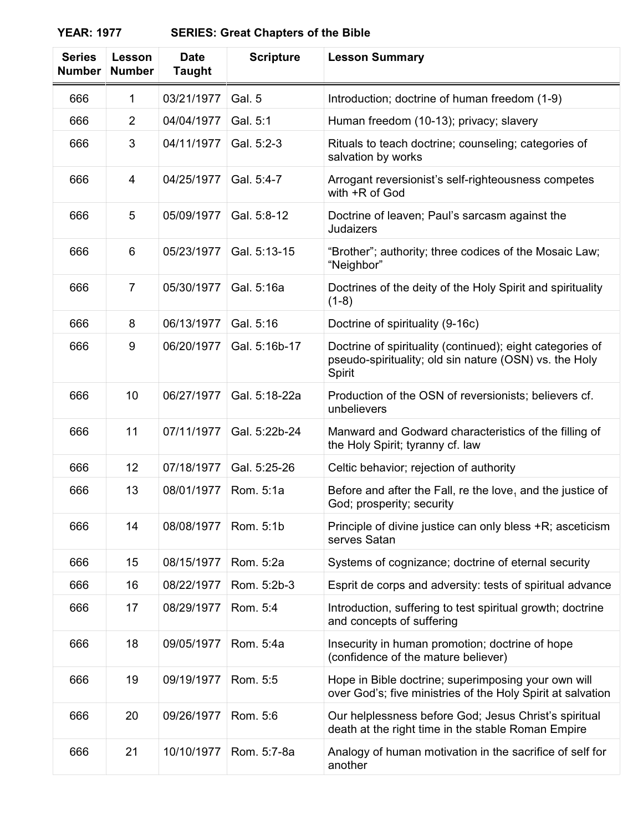| <b>Series</b><br><b>Number</b> | Lesson<br><b>Number</b> | <b>Date</b><br><b>Taught</b> | <b>Scripture</b> | <b>Lesson Summary</b>                                                                                                         |
|--------------------------------|-------------------------|------------------------------|------------------|-------------------------------------------------------------------------------------------------------------------------------|
| 666                            | 1                       | 03/21/1977                   | Gal. 5           | Introduction; doctrine of human freedom (1-9)                                                                                 |
| 666                            | $\overline{2}$          | 04/04/1977                   | Gal. 5:1         | Human freedom (10-13); privacy; slavery                                                                                       |
| 666                            | 3                       | 04/11/1977                   | Gal. 5:2-3       | Rituals to teach doctrine; counseling; categories of<br>salvation by works                                                    |
| 666                            | 4                       | 04/25/1977                   | Gal. 5:4-7       | Arrogant reversionist's self-righteousness competes<br>with +R of God                                                         |
| 666                            | 5                       | 05/09/1977                   | Gal. 5:8-12      | Doctrine of leaven; Paul's sarcasm against the<br>Judaizers                                                                   |
| 666                            | 6                       | 05/23/1977                   | Gal. 5:13-15     | "Brother"; authority; three codices of the Mosaic Law;<br>"Neighbor"                                                          |
| 666                            | $\overline{7}$          | 05/30/1977                   | Gal. 5:16a       | Doctrines of the deity of the Holy Spirit and spirituality<br>$(1-8)$                                                         |
| 666                            | 8                       | 06/13/1977                   | Gal. 5:16        | Doctrine of spirituality (9-16c)                                                                                              |
| 666                            | 9                       | 06/20/1977                   | Gal. 5:16b-17    | Doctrine of spirituality (continued); eight categories of<br>pseudo-spirituality; old sin nature (OSN) vs. the Holy<br>Spirit |
| 666                            | 10                      | 06/27/1977                   | Gal. 5:18-22a    | Production of the OSN of reversionists; believers cf.<br>unbelievers                                                          |
| 666                            | 11                      | 07/11/1977                   | Gal. 5:22b-24    | Manward and Godward characteristics of the filling of<br>the Holy Spirit; tyranny cf. law                                     |
| 666                            | 12                      | 07/18/1977                   | Gal. 5:25-26     | Celtic behavior; rejection of authority                                                                                       |
| 666                            | 13                      | 08/01/1977                   | Rom. 5:1a        | Before and after the Fall, re the love, and the justice of<br>God; prosperity; security                                       |
| 666                            | 14                      | 08/08/1977                   | Rom. 5:1b        | Principle of divine justice can only bless +R; asceticism<br>serves Satan                                                     |
| 666                            | 15                      | 08/15/1977                   | Rom. 5:2a        | Systems of cognizance; doctrine of eternal security                                                                           |
| 666                            | 16                      | 08/22/1977                   | Rom. 5:2b-3      | Esprit de corps and adversity: tests of spiritual advance                                                                     |
| 666                            | 17                      | 08/29/1977                   | Rom. 5:4         | Introduction, suffering to test spiritual growth; doctrine<br>and concepts of suffering                                       |
| 666                            | 18                      | 09/05/1977                   | Rom. 5:4a        | Insecurity in human promotion; doctrine of hope<br>(confidence of the mature believer)                                        |
| 666                            | 19                      | 09/19/1977                   | Rom. 5:5         | Hope in Bible doctrine; superimposing your own will<br>over God's; five ministries of the Holy Spirit at salvation            |
| 666                            | 20                      | 09/26/1977                   | Rom. 5:6         | Our helplessness before God; Jesus Christ's spiritual<br>death at the right time in the stable Roman Empire                   |
| 666                            | 21                      | 10/10/1977                   | Rom. 5:7-8a      | Analogy of human motivation in the sacrifice of self for<br>another                                                           |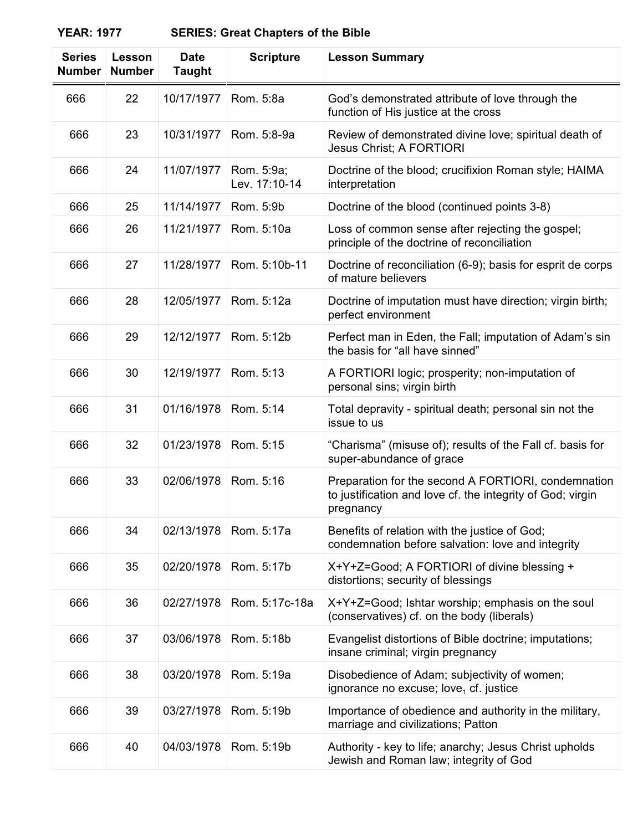| <b>Series</b><br><b>Number</b> | Lesson<br><b>Number</b> | <b>Date</b><br>Taught | <b>Scripture</b>            | <b>Lesson Summary</b>                                                                                                          |
|--------------------------------|-------------------------|-----------------------|-----------------------------|--------------------------------------------------------------------------------------------------------------------------------|
| 666                            | 22                      | 10/17/1977            | Rom. 5:8a                   | God's demonstrated attribute of love through the<br>function of His justice at the cross                                       |
| 666                            | 23                      | 10/31/1977            | Rom. 5:8-9a                 | Review of demonstrated divine love; spiritual death of<br><b>Jesus Christ; A FORTIORI</b>                                      |
| 666                            | 24                      | 11/07/1977            | Rom. 5:9a;<br>Lev. 17:10-14 | Doctrine of the blood; crucifixion Roman style; HAIMA<br>interpretation                                                        |
| 666                            | 25                      | 11/14/1977            | Rom. 5:9b                   | Doctrine of the blood (continued points 3-8)                                                                                   |
| 666                            | 26                      | 11/21/1977            | Rom. 5:10a                  | Loss of common sense after rejecting the gospel;<br>principle of the doctrine of reconciliation                                |
| 666                            | 27                      | 11/28/1977            | Rom. 5:10b-11               | Doctrine of reconciliation (6-9); basis for esprit de corps<br>of mature believers                                             |
| 666                            | 28                      | 12/05/1977            | Rom. 5:12a                  | Doctrine of imputation must have direction; virgin birth;<br>perfect environment                                               |
| 666                            | 29                      | 12/12/1977            | Rom. 5:12b                  | Perfect man in Eden, the Fall; imputation of Adam's sin<br>the basis for "all have sinned"                                     |
| 666                            | 30                      | 12/19/1977            | Rom. 5:13                   | A FORTIORI logic; prosperity; non-imputation of<br>personal sins; virgin birth                                                 |
| 666                            | 31                      | 01/16/1978            | Rom. 5:14                   | Total depravity - spiritual death; personal sin not the<br>issue to us                                                         |
| 666                            | 32                      | 01/23/1978            | Rom. 5:15                   | "Charisma" (misuse of); results of the Fall cf. basis for<br>super-abundance of grace                                          |
| 666                            | 33                      | 02/06/1978            | Rom. 5:16                   | Preparation for the second A FORTIORI, condemnation<br>to justification and love cf. the integrity of God; virgin<br>pregnancy |
| 666                            | 34                      | 02/13/1978            | Rom. 5:17a                  | Benefits of relation with the justice of God;<br>condemnation before salvation: love and integrity                             |
| 666                            | 35                      | 02/20/1978            | Rom. 5:17b                  | X+Y+Z=Good; A FORTIORI of divine blessing +<br>distortions; security of blessings                                              |
| 666                            | 36                      | 02/27/1978            | Rom. 5:17c-18a              | X+Y+Z=Good; Ishtar worship; emphasis on the soul<br>(conservatives) cf. on the body (liberals)                                 |
| 666                            | 37                      | 03/06/1978            | Rom. 5:18b                  | Evangelist distortions of Bible doctrine; imputations;<br>insane criminal; virgin pregnancy                                    |
| 666                            | 38                      | 03/20/1978            | Rom. 5:19a                  | Disobedience of Adam; subjectivity of women;<br>ignorance no excuse; love, cf. justice                                         |
| 666                            | 39                      | 03/27/1978            | Rom. 5:19b                  | Importance of obedience and authority in the military,<br>marriage and civilizations; Patton                                   |
| 666                            | 40                      | 04/03/1978            | Rom. 5:19b                  | Authority - key to life; anarchy; Jesus Christ upholds<br>Jewish and Roman law; integrity of God                               |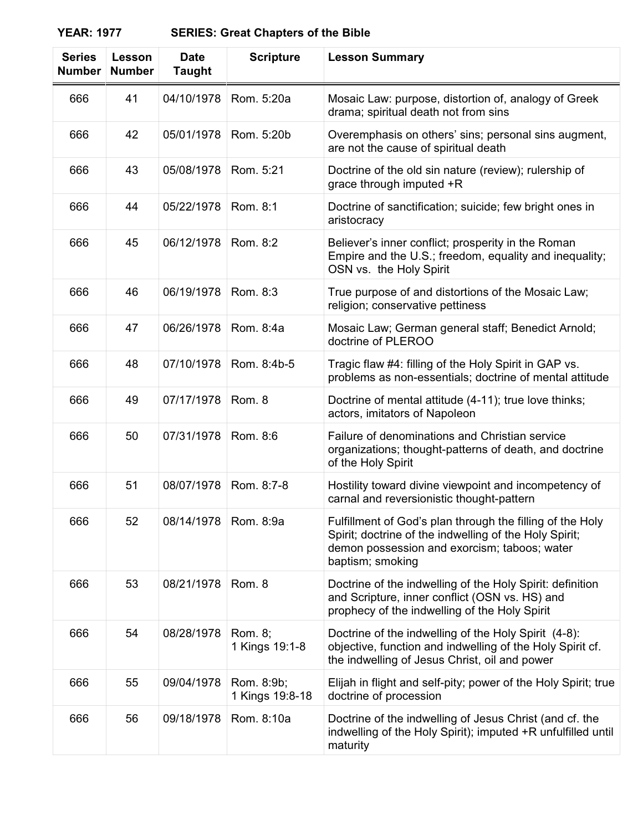| <b>Series</b><br><b>Number</b> | <b>Lesson</b><br><b>Number</b> | <b>Date</b><br><b>Taught</b> | <b>Scripture</b>              | <b>Lesson Summary</b>                                                                                                                                                                   |
|--------------------------------|--------------------------------|------------------------------|-------------------------------|-----------------------------------------------------------------------------------------------------------------------------------------------------------------------------------------|
| 666                            | 41                             | 04/10/1978                   | Rom. 5:20a                    | Mosaic Law: purpose, distortion of, analogy of Greek<br>drama; spiritual death not from sins                                                                                            |
| 666                            | 42                             | 05/01/1978                   | Rom. 5:20b                    | Overemphasis on others' sins; personal sins augment,<br>are not the cause of spiritual death                                                                                            |
| 666                            | 43                             | 05/08/1978                   | Rom. 5:21                     | Doctrine of the old sin nature (review); rulership of<br>grace through imputed +R                                                                                                       |
| 666                            | 44                             | 05/22/1978                   | Rom. 8:1                      | Doctrine of sanctification; suicide; few bright ones in<br>aristocracy                                                                                                                  |
| 666                            | 45                             | 06/12/1978                   | Rom. 8:2                      | Believer's inner conflict; prosperity in the Roman<br>Empire and the U.S.; freedom, equality and inequality;<br>OSN vs. the Holy Spirit                                                 |
| 666                            | 46                             | 06/19/1978                   | Rom. 8:3                      | True purpose of and distortions of the Mosaic Law;<br>religion; conservative pettiness                                                                                                  |
| 666                            | 47                             | 06/26/1978                   | Rom. 8:4a                     | Mosaic Law; German general staff; Benedict Arnold;<br>doctrine of PLEROO                                                                                                                |
| 666                            | 48                             | 07/10/1978                   | Rom. 8:4b-5                   | Tragic flaw #4: filling of the Holy Spirit in GAP vs.<br>problems as non-essentials; doctrine of mental attitude                                                                        |
| 666                            | 49                             | 07/17/1978                   | Rom. 8                        | Doctrine of mental attitude (4-11); true love thinks;<br>actors, imitators of Napoleon                                                                                                  |
| 666                            | 50                             | 07/31/1978                   | Rom. 8:6                      | Failure of denominations and Christian service<br>organizations; thought-patterns of death, and doctrine<br>of the Holy Spirit                                                          |
| 666                            | 51                             | 08/07/1978                   | Rom. 8:7-8                    | Hostility toward divine viewpoint and incompetency of<br>carnal and reversionistic thought-pattern                                                                                      |
| 666                            | 52                             | 08/14/1978                   | Rom. 8:9a                     | Fulfillment of God's plan through the filling of the Holy<br>Spirit; doctrine of the indwelling of the Holy Spirit;<br>demon possession and exorcism; taboos; water<br>baptism; smoking |
| 666                            | 53                             | 08/21/1978                   | Rom. 8                        | Doctrine of the indwelling of the Holy Spirit: definition<br>and Scripture, inner conflict (OSN vs. HS) and<br>prophecy of the indwelling of the Holy Spirit                            |
| 666                            | 54                             | 08/28/1978                   | Rom. 8;<br>1 Kings 19:1-8     | Doctrine of the indwelling of the Holy Spirit (4-8):<br>objective, function and indwelling of the Holy Spirit cf.<br>the indwelling of Jesus Christ, oil and power                      |
| 666                            | 55                             | 09/04/1978                   | Rom. 8:9b;<br>1 Kings 19:8-18 | Elijah in flight and self-pity; power of the Holy Spirit; true<br>doctrine of procession                                                                                                |
| 666                            | 56                             | 09/18/1978                   | Rom. 8:10a                    | Doctrine of the indwelling of Jesus Christ (and cf. the<br>indwelling of the Holy Spirit); imputed +R unfulfilled until<br>maturity                                                     |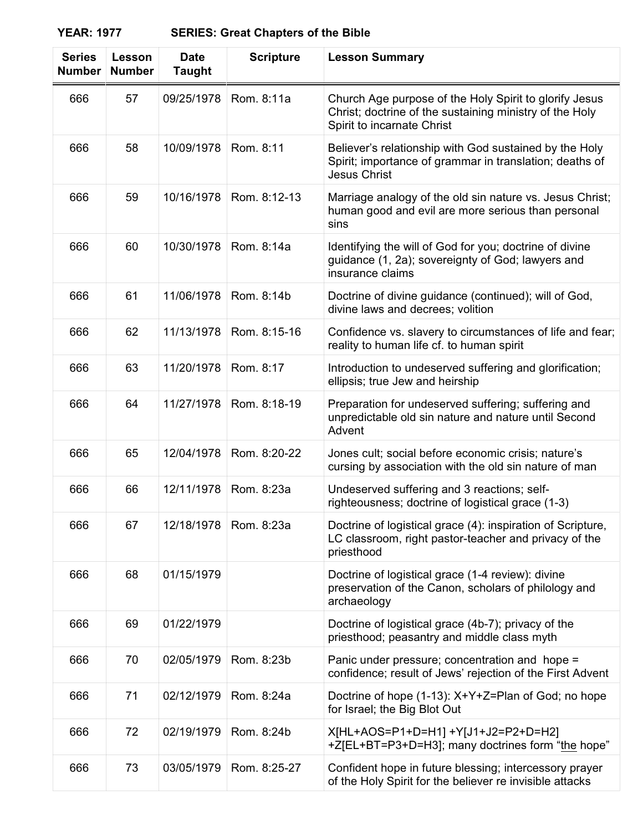| <b>Series</b><br><b>Number</b> | Lesson<br><b>Number</b> | <b>Date</b><br><b>Taught</b> | <b>Scripture</b> | <b>Lesson Summary</b>                                                                                                                           |
|--------------------------------|-------------------------|------------------------------|------------------|-------------------------------------------------------------------------------------------------------------------------------------------------|
| 666                            | 57                      | 09/25/1978                   | Rom. 8:11a       | Church Age purpose of the Holy Spirit to glorify Jesus<br>Christ; doctrine of the sustaining ministry of the Holy<br>Spirit to incarnate Christ |
| 666                            | 58                      | 10/09/1978                   | Rom. 8:11        | Believer's relationship with God sustained by the Holy<br>Spirit; importance of grammar in translation; deaths of<br><b>Jesus Christ</b>        |
| 666                            | 59                      | 10/16/1978                   | Rom. 8:12-13     | Marriage analogy of the old sin nature vs. Jesus Christ;<br>human good and evil are more serious than personal<br>sins                          |
| 666                            | 60                      | 10/30/1978                   | Rom. 8:14a       | Identifying the will of God for you; doctrine of divine<br>guidance (1, 2a); sovereignty of God; lawyers and<br>insurance claims                |
| 666                            | 61                      | 11/06/1978                   | Rom. 8:14b       | Doctrine of divine guidance (continued); will of God,<br>divine laws and decrees; volition                                                      |
| 666                            | 62                      | 11/13/1978                   | Rom. 8:15-16     | Confidence vs. slavery to circumstances of life and fear;<br>reality to human life cf. to human spirit                                          |
| 666                            | 63                      | 11/20/1978                   | Rom. 8:17        | Introduction to undeserved suffering and glorification;<br>ellipsis; true Jew and heirship                                                      |
| 666                            | 64                      | 11/27/1978                   | Rom. 8:18-19     | Preparation for undeserved suffering; suffering and<br>unpredictable old sin nature and nature until Second<br>Advent                           |
| 666                            | 65                      | 12/04/1978                   | Rom. 8:20-22     | Jones cult; social before economic crisis; nature's<br>cursing by association with the old sin nature of man                                    |
| 666                            | 66                      | 12/11/1978                   | Rom. 8:23a       | Undeserved suffering and 3 reactions; self-<br>righteousness; doctrine of logistical grace (1-3)                                                |
| 666                            | 67                      | 12/18/1978                   | Rom. 8:23a       | Doctrine of logistical grace (4): inspiration of Scripture,<br>LC classroom, right pastor-teacher and privacy of the<br>priesthood              |
| 666                            | 68                      | 01/15/1979                   |                  | Doctrine of logistical grace (1-4 review): divine<br>preservation of the Canon, scholars of philology and<br>archaeology                        |
| 666                            | 69                      | 01/22/1979                   |                  | Doctrine of logistical grace (4b-7); privacy of the<br>priesthood; peasantry and middle class myth                                              |
| 666                            | 70                      | 02/05/1979                   | Rom. 8:23b       | Panic under pressure; concentration and hope =<br>confidence; result of Jews' rejection of the First Advent                                     |
| 666                            | 71                      | 02/12/1979                   | Rom. 8:24a       | Doctrine of hope (1-13): X+Y+Z=Plan of God; no hope<br>for Israel; the Big Blot Out                                                             |
| 666                            | 72                      | 02/19/1979                   | Rom. 8:24b       | X[HL+AOS=P1+D=H1] +Y[J1+J2=P2+D=H2]<br>+Z[EL+BT=P3+D=H3]; many doctrines form "the hope"                                                        |
| 666                            | 73                      | 03/05/1979                   | Rom. 8:25-27     | Confident hope in future blessing; intercessory prayer<br>of the Holy Spirit for the believer re invisible attacks                              |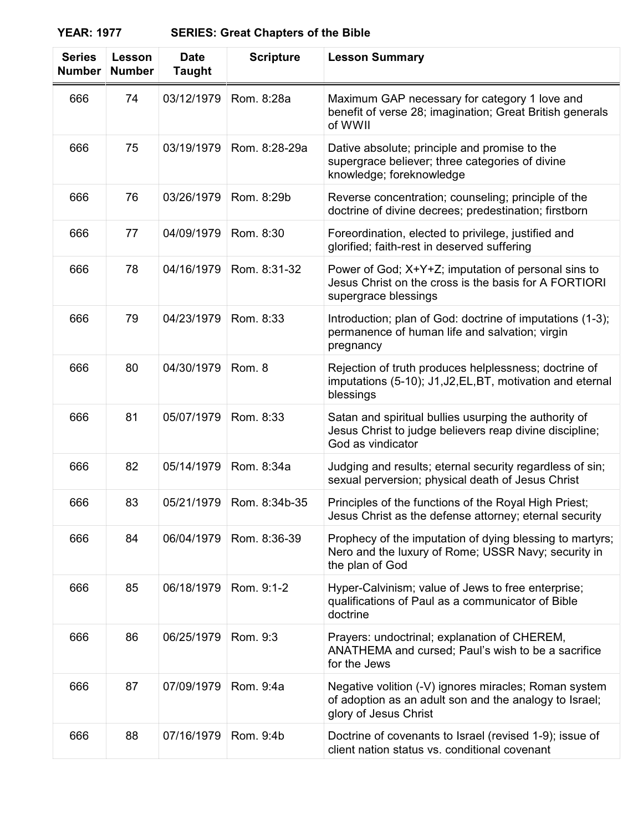| <b>Series</b><br><b>Number</b> | Lesson<br><b>Number</b> | <b>Date</b><br><b>Taught</b> | <b>Scripture</b> | <b>Lesson Summary</b>                                                                                                                    |
|--------------------------------|-------------------------|------------------------------|------------------|------------------------------------------------------------------------------------------------------------------------------------------|
| 666                            | 74                      | 03/12/1979                   | Rom. 8:28a       | Maximum GAP necessary for category 1 love and<br>benefit of verse 28; imagination; Great British generals<br>of WWII                     |
| 666                            | 75                      | 03/19/1979                   | Rom. 8:28-29a    | Dative absolute; principle and promise to the<br>supergrace believer; three categories of divine<br>knowledge; foreknowledge             |
| 666                            | 76                      | 03/26/1979                   | Rom. 8:29b       | Reverse concentration; counseling; principle of the<br>doctrine of divine decrees; predestination; firstborn                             |
| 666                            | 77                      | 04/09/1979                   | Rom. 8:30        | Foreordination, elected to privilege, justified and<br>glorified; faith-rest in deserved suffering                                       |
| 666                            | 78                      | 04/16/1979                   | Rom. 8:31-32     | Power of God; X+Y+Z; imputation of personal sins to<br>Jesus Christ on the cross is the basis for A FORTIORI<br>supergrace blessings     |
| 666                            | 79                      | 04/23/1979                   | Rom. 8:33        | Introduction; plan of God: doctrine of imputations (1-3);<br>permanence of human life and salvation; virgin<br>pregnancy                 |
| 666                            | 80                      | 04/30/1979                   | Rom. 8           | Rejection of truth produces helplessness; doctrine of<br>imputations (5-10); J1, J2, EL, BT, motivation and eternal<br>blessings         |
| 666                            | 81                      | 05/07/1979                   | Rom. 8:33        | Satan and spiritual bullies usurping the authority of<br>Jesus Christ to judge believers reap divine discipline;<br>God as vindicator    |
| 666                            | 82                      | 05/14/1979                   | Rom. 8:34a       | Judging and results; eternal security regardless of sin;<br>sexual perversion; physical death of Jesus Christ                            |
| 666                            | 83                      | 05/21/1979                   | Rom. 8:34b-35    | Principles of the functions of the Royal High Priest;<br>Jesus Christ as the defense attorney; eternal security                          |
| 666                            | 84                      | 06/04/1979                   | Rom. 8:36-39     | Prophecy of the imputation of dying blessing to martyrs;<br>Nero and the luxury of Rome; USSR Navy; security in<br>the plan of God       |
| 666                            | 85                      | 06/18/1979                   | Rom. 9:1-2       | Hyper-Calvinism; value of Jews to free enterprise;<br>qualifications of Paul as a communicator of Bible<br>doctrine                      |
| 666                            | 86                      | 06/25/1979                   | Rom. 9:3         | Prayers: undoctrinal; explanation of CHEREM,<br>ANATHEMA and cursed; Paul's wish to be a sacrifice<br>for the Jews                       |
| 666                            | 87                      | 07/09/1979                   | Rom. 9:4a        | Negative volition (-V) ignores miracles; Roman system<br>of adoption as an adult son and the analogy to Israel;<br>glory of Jesus Christ |
| 666                            | 88                      | 07/16/1979                   | Rom. 9:4b        | Doctrine of covenants to Israel (revised 1-9); issue of<br>client nation status vs. conditional covenant                                 |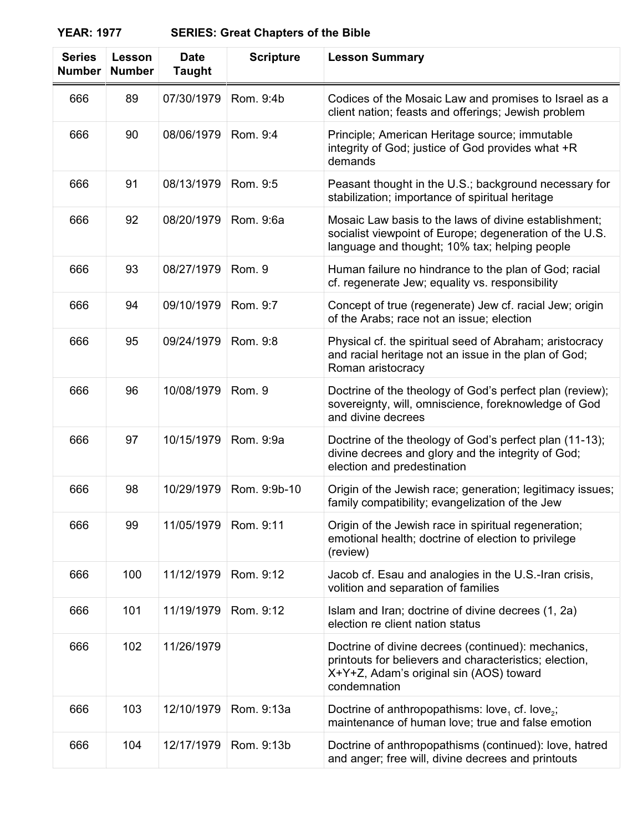| <b>Series</b><br><b>Number</b> | Lesson<br><b>Number</b> | <b>Date</b><br><b>Taught</b> | <b>Scripture</b> | <b>Lesson Summary</b>                                                                                                                                                   |
|--------------------------------|-------------------------|------------------------------|------------------|-------------------------------------------------------------------------------------------------------------------------------------------------------------------------|
| 666                            | 89                      | 07/30/1979                   | Rom. 9:4b        | Codices of the Mosaic Law and promises to Israel as a<br>client nation; feasts and offerings; Jewish problem                                                            |
| 666                            | 90                      | 08/06/1979                   | Rom. 9:4         | Principle; American Heritage source; immutable<br>integrity of God; justice of God provides what +R<br>demands                                                          |
| 666                            | 91                      | 08/13/1979                   | Rom. 9:5         | Peasant thought in the U.S.; background necessary for<br>stabilization; importance of spiritual heritage                                                                |
| 666                            | 92                      | 08/20/1979                   | Rom. 9:6a        | Mosaic Law basis to the laws of divine establishment;<br>socialist viewpoint of Europe; degeneration of the U.S.<br>language and thought; 10% tax; helping people       |
| 666                            | 93                      | 08/27/1979                   | Rom. 9           | Human failure no hindrance to the plan of God; racial<br>cf. regenerate Jew; equality vs. responsibility                                                                |
| 666                            | 94                      | 09/10/1979                   | Rom. 9:7         | Concept of true (regenerate) Jew cf. racial Jew; origin<br>of the Arabs; race not an issue; election                                                                    |
| 666                            | 95                      | 09/24/1979                   | Rom. 9:8         | Physical cf. the spiritual seed of Abraham; aristocracy<br>and racial heritage not an issue in the plan of God;<br>Roman aristocracy                                    |
| 666                            | 96                      | 10/08/1979                   | Rom. 9           | Doctrine of the theology of God's perfect plan (review);<br>sovereignty, will, omniscience, foreknowledge of God<br>and divine decrees                                  |
| 666                            | 97                      | 10/15/1979                   | Rom. 9:9a        | Doctrine of the theology of God's perfect plan (11-13);<br>divine decrees and glory and the integrity of God;<br>election and predestination                            |
| 666                            | 98                      | 10/29/1979                   | Rom. 9:9b-10     | Origin of the Jewish race; generation; legitimacy issues;<br>family compatibility; evangelization of the Jew                                                            |
| 666                            | 99                      | 11/05/1979                   | Rom. 9:11        | Origin of the Jewish race in spiritual regeneration;<br>emotional health; doctrine of election to privilege<br>(review)                                                 |
| 666                            | 100                     | 11/12/1979                   | Rom. 9:12        | Jacob cf. Esau and analogies in the U.S.-Iran crisis,<br>volition and separation of families                                                                            |
| 666                            | 101                     | 11/19/1979                   | Rom. 9:12        | Islam and Iran; doctrine of divine decrees (1, 2a)<br>election re client nation status                                                                                  |
| 666                            | 102                     | 11/26/1979                   |                  | Doctrine of divine decrees (continued): mechanics,<br>printouts for believers and characteristics; election,<br>X+Y+Z, Adam's original sin (AOS) toward<br>condemnation |
| 666                            | 103                     | 12/10/1979                   | Rom. 9:13a       | Doctrine of anthropopathisms: love, cf. love,;<br>maintenance of human love; true and false emotion                                                                     |
| 666                            | 104                     | 12/17/1979                   | Rom. 9:13b       | Doctrine of anthropopathisms (continued): love, hatred<br>and anger; free will, divine decrees and printouts                                                            |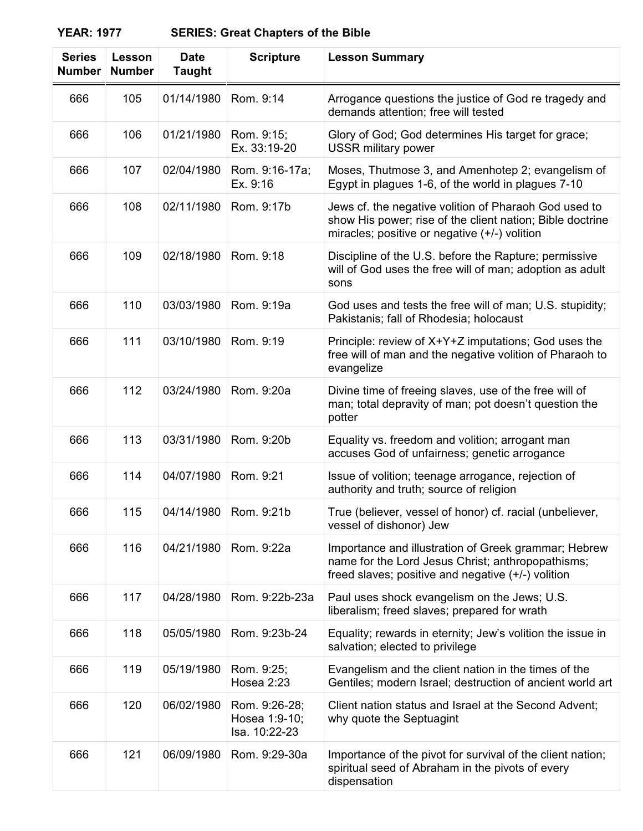| <b>Series</b><br><b>Number</b> | Lesson<br><b>Number</b> | <b>Date</b><br><b>Taught</b> | <b>Scripture</b>                                | <b>Lesson Summary</b>                                                                                                                                               |
|--------------------------------|-------------------------|------------------------------|-------------------------------------------------|---------------------------------------------------------------------------------------------------------------------------------------------------------------------|
| 666                            | 105                     | 01/14/1980                   | Rom. 9:14                                       | Arrogance questions the justice of God re tragedy and<br>demands attention; free will tested                                                                        |
| 666                            | 106                     | 01/21/1980                   | Rom. 9:15;<br>Ex. 33:19-20                      | Glory of God; God determines His target for grace;<br><b>USSR military power</b>                                                                                    |
| 666                            | 107                     | 02/04/1980                   | Rom. 9:16-17a;<br>Ex. 9:16                      | Moses, Thutmose 3, and Amenhotep 2; evangelism of<br>Egypt in plagues 1-6, of the world in plagues 7-10                                                             |
| 666                            | 108                     | 02/11/1980                   | Rom. 9:17b                                      | Jews cf. the negative volition of Pharaoh God used to<br>show His power; rise of the client nation; Bible doctrine<br>miracles; positive or negative (+/-) volition |
| 666                            | 109                     | 02/18/1980                   | Rom. 9:18                                       | Discipline of the U.S. before the Rapture; permissive<br>will of God uses the free will of man; adoption as adult<br>sons                                           |
| 666                            | 110                     | 03/03/1980                   | Rom. 9:19a                                      | God uses and tests the free will of man; U.S. stupidity;<br>Pakistanis; fall of Rhodesia; holocaust                                                                 |
| 666                            | 111                     | 03/10/1980                   | Rom. 9:19                                       | Principle: review of X+Y+Z imputations; God uses the<br>free will of man and the negative volition of Pharaoh to<br>evangelize                                      |
| 666                            | 112                     | 03/24/1980                   | Rom. 9:20a                                      | Divine time of freeing slaves, use of the free will of<br>man; total depravity of man; pot doesn't question the<br>potter                                           |
| 666                            | 113                     | 03/31/1980                   | Rom. 9:20b                                      | Equality vs. freedom and volition; arrogant man<br>accuses God of unfairness; genetic arrogance                                                                     |
| 666                            | 114                     | 04/07/1980                   | Rom. 9:21                                       | Issue of volition; teenage arrogance, rejection of<br>authority and truth; source of religion                                                                       |
| 666                            | 115                     | 04/14/1980                   | Rom. 9:21b                                      | True (believer, vessel of honor) cf. racial (unbeliever,<br>vessel of dishonor) Jew                                                                                 |
| 666                            | 116                     | 04/21/1980                   | Rom. 9:22a                                      | Importance and illustration of Greek grammar; Hebrew<br>name for the Lord Jesus Christ; anthropopathisms;<br>freed slaves; positive and negative (+/-) volition     |
| 666                            | 117                     | 04/28/1980                   | Rom. 9:22b-23a                                  | Paul uses shock evangelism on the Jews; U.S.<br>liberalism; freed slaves; prepared for wrath                                                                        |
| 666                            | 118                     | 05/05/1980                   | Rom. 9:23b-24                                   | Equality; rewards in eternity; Jew's volition the issue in<br>salvation; elected to privilege                                                                       |
| 666                            | 119                     | 05/19/1980                   | Rom. 9:25;<br>Hosea 2:23                        | Evangelism and the client nation in the times of the<br>Gentiles; modern Israel; destruction of ancient world art                                                   |
| 666                            | 120                     | 06/02/1980                   | Rom. 9:26-28;<br>Hosea 1:9-10;<br>Isa. 10:22-23 | Client nation status and Israel at the Second Advent;<br>why quote the Septuagint                                                                                   |
| 666                            | 121                     | 06/09/1980                   | Rom. 9:29-30a                                   | Importance of the pivot for survival of the client nation;<br>spiritual seed of Abraham in the pivots of every<br>dispensation                                      |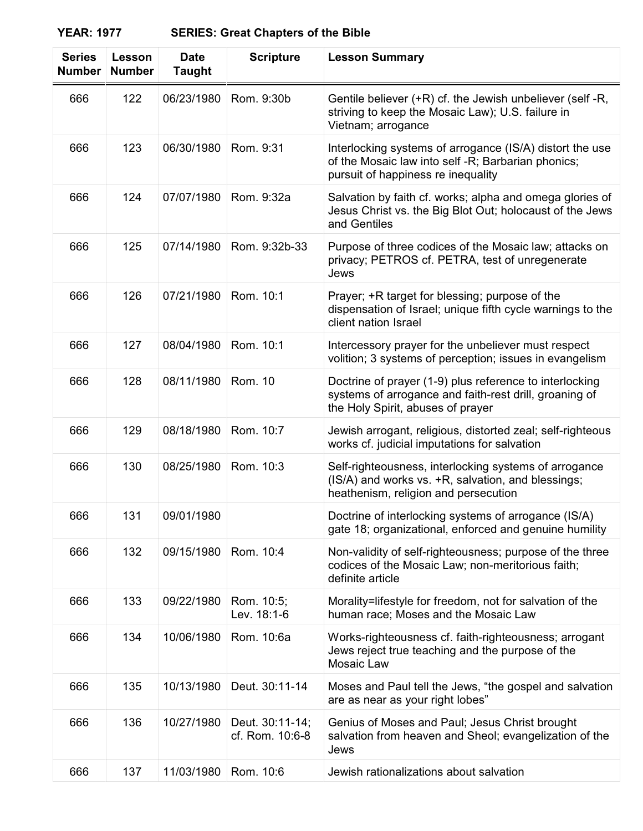| <b>Series</b><br><b>Number</b> | Lesson<br><b>Number</b> | <b>Date</b><br><b>Taught</b> | <b>Scripture</b>                   | <b>Lesson Summary</b>                                                                                                                                  |
|--------------------------------|-------------------------|------------------------------|------------------------------------|--------------------------------------------------------------------------------------------------------------------------------------------------------|
| 666                            | 122                     | 06/23/1980                   | Rom. 9:30b                         | Gentile believer (+R) cf. the Jewish unbeliever (self-R,<br>striving to keep the Mosaic Law); U.S. failure in<br>Vietnam; arrogance                    |
| 666                            | 123                     | 06/30/1980                   | Rom. 9:31                          | Interlocking systems of arrogance (IS/A) distort the use<br>of the Mosaic law into self -R; Barbarian phonics;<br>pursuit of happiness re inequality   |
| 666                            | 124                     | 07/07/1980                   | Rom. 9:32a                         | Salvation by faith cf. works; alpha and omega glories of<br>Jesus Christ vs. the Big Blot Out; holocaust of the Jews<br>and Gentiles                   |
| 666                            | 125                     | 07/14/1980                   | Rom. 9:32b-33                      | Purpose of three codices of the Mosaic law; attacks on<br>privacy; PETROS cf. PETRA, test of unregenerate<br>Jews                                      |
| 666                            | 126                     | 07/21/1980                   | Rom. 10:1                          | Prayer; +R target for blessing; purpose of the<br>dispensation of Israel; unique fifth cycle warnings to the<br>client nation Israel                   |
| 666                            | 127                     | 08/04/1980                   | Rom. 10:1                          | Intercessory prayer for the unbeliever must respect<br>volition; 3 systems of perception; issues in evangelism                                         |
| 666                            | 128                     | 08/11/1980                   | Rom. 10                            | Doctrine of prayer (1-9) plus reference to interlocking<br>systems of arrogance and faith-rest drill, groaning of<br>the Holy Spirit, abuses of prayer |
| 666                            | 129                     | 08/18/1980                   | Rom. 10:7                          | Jewish arrogant, religious, distorted zeal; self-righteous<br>works cf. judicial imputations for salvation                                             |
| 666                            | 130                     | 08/25/1980                   | Rom. 10:3                          | Self-righteousness, interlocking systems of arrogance<br>(IS/A) and works vs. +R, salvation, and blessings;<br>heathenism, religion and persecution    |
| 666                            | 131                     | 09/01/1980                   |                                    | Doctrine of interlocking systems of arrogance (IS/A)<br>gate 18; organizational, enforced and genuine humility                                         |
| 666                            | 132                     | 09/15/1980                   | Rom. 10:4                          | Non-validity of self-righteousness; purpose of the three<br>codices of the Mosaic Law; non-meritorious faith;<br>definite article                      |
| 666                            | 133                     | 09/22/1980                   | Rom. 10:5;<br>Lev. 18:1-6          | Morality=lifestyle for freedom, not for salvation of the<br>human race; Moses and the Mosaic Law                                                       |
| 666                            | 134                     | 10/06/1980                   | Rom. 10:6a                         | Works-righteousness cf. faith-righteousness; arrogant<br>Jews reject true teaching and the purpose of the<br>Mosaic Law                                |
| 666                            | 135                     | 10/13/1980                   | Deut. 30:11-14                     | Moses and Paul tell the Jews, "the gospel and salvation<br>are as near as your right lobes"                                                            |
| 666                            | 136                     | 10/27/1980                   | Deut. 30:11-14;<br>cf. Rom. 10:6-8 | Genius of Moses and Paul; Jesus Christ brought<br>salvation from heaven and Sheol; evangelization of the<br>Jews                                       |
| 666                            | 137                     | 11/03/1980                   | Rom. 10:6                          | Jewish rationalizations about salvation                                                                                                                |